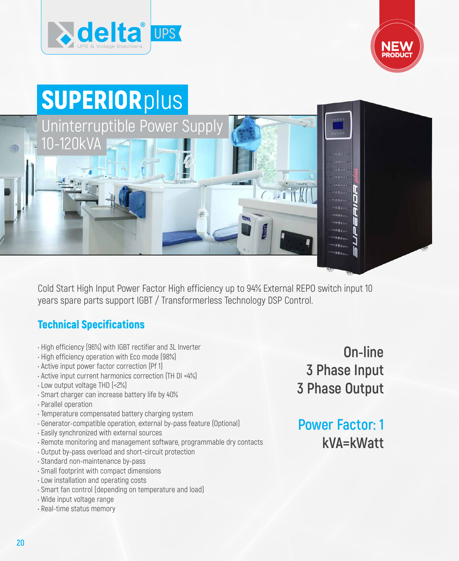





Cold Start High Input Power Factor High efficiency up to 94% External REPO switch input 10 years spare parts support IGBT / Transformerless Technology DSP Control.

## Technical Specifications

- High efficiency (96%) with IGBT rectifier and 3L Inverter
- High efficiency operation with Eco mode (98%)
- Active input power factor correction (Pf 1)
- Active input current harmonics correction (TH DI <4%)
- Low output voltage THD (<2%)
- Smart charger can increase battery life by 40%
- Parallel operation
- Temperature compensated battery charging system
- Generator-compatible operation, external by-pass feature (Optional)
- Easily synchronized with external sources
- Remote monitoring and management software, programmable dry contacts
- Output by-pass overload and short-circuit protection
- Standard non-maintenance by-pass
- Small footprint with compact dimensions
- Low installation and operating costs
- Smart fan control (depending on temperature and load)
- Wide input voltage range
- Real-time status memory

**On-line 3 Phase Input 3 Phase Output**

**Power Factor: 1 kVA=kWatt**